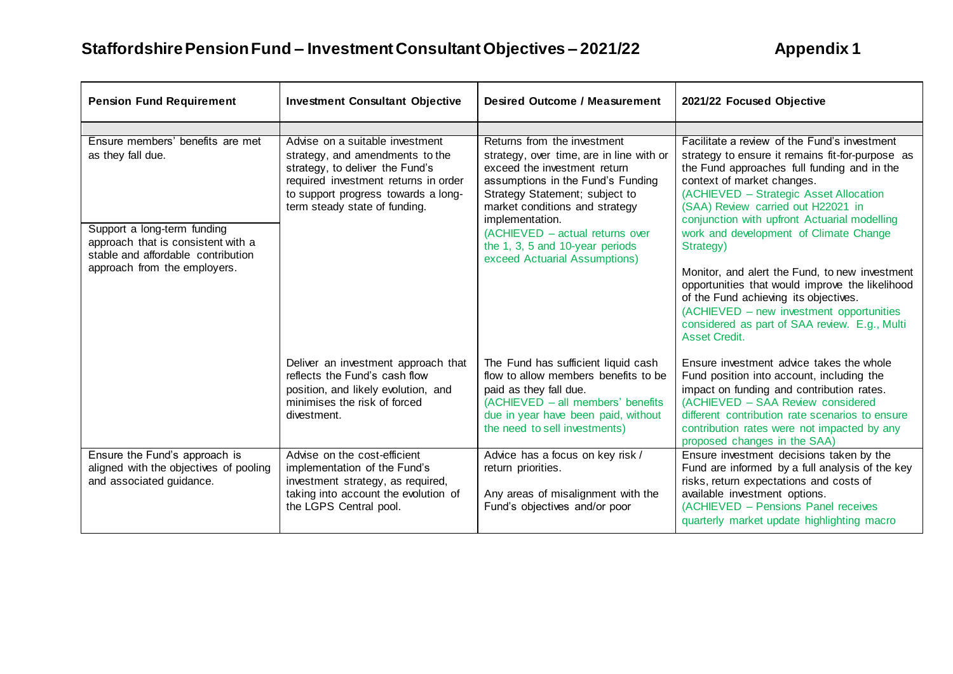| <b>Pension Fund Requirement</b>                                                                                                                                  | <b>Investment Consultant Objective</b>                                                                                                                                                                                | <b>Desired Outcome / Measurement</b>                                                                                                                                                                                                                                                                                                       | 2021/22 Focused Objective                                                                                                                                                                                                                                                                                                                                            |
|------------------------------------------------------------------------------------------------------------------------------------------------------------------|-----------------------------------------------------------------------------------------------------------------------------------------------------------------------------------------------------------------------|--------------------------------------------------------------------------------------------------------------------------------------------------------------------------------------------------------------------------------------------------------------------------------------------------------------------------------------------|----------------------------------------------------------------------------------------------------------------------------------------------------------------------------------------------------------------------------------------------------------------------------------------------------------------------------------------------------------------------|
| Ensure members' benefits are met<br>as they fall due.<br>Support a long-term funding<br>approach that is consistent with a<br>stable and affordable contribution | Advise on a suitable investment<br>strategy, and amendments to the<br>strategy, to deliver the Fund's<br>required investment returns in order<br>to support progress towards a long-<br>term steady state of funding. | Returns from the investment<br>strategy, over time, are in line with or<br>exceed the investment return<br>assumptions in the Fund's Funding<br>Strategy Statement; subject to<br>market conditions and strategy<br>implementation.<br>(ACHIEVED - actual returns over<br>the 1, 3, 5 and 10-year periods<br>exceed Actuarial Assumptions) | Facilitate a review of the Fund's investment<br>strategy to ensure it remains fit-for-purpose as<br>the Fund approaches full funding and in the<br>context of market changes.<br>(ACHIEVED - Strategic Asset Allocation<br>(SAA) Review carried out H22021 in<br>conjunction with upfront Actuarial modelling<br>work and development of Climate Change<br>Strategy) |
| approach from the employers.                                                                                                                                     |                                                                                                                                                                                                                       |                                                                                                                                                                                                                                                                                                                                            | Monitor, and alert the Fund, to new investment<br>opportunities that would improve the likelihood<br>of the Fund achieving its objectives.<br>(ACHIEVED – new investment opportunities<br>considered as part of SAA review. E.g., Multi<br>Asset Credit.                                                                                                             |
|                                                                                                                                                                  | Deliver an investment approach that<br>reflects the Fund's cash flow<br>position, and likely evolution, and<br>minimises the risk of forced<br>divestment.                                                            | The Fund has sufficient liquid cash<br>flow to allow members benefits to be<br>paid as they fall due.<br>(ACHIEVED - all members' benefits<br>due in year have been paid, without<br>the need to sell investments)                                                                                                                         | Ensure investment advice takes the whole<br>Fund position into account, including the<br>impact on funding and contribution rates.<br>(ACHIEVED - SAA Review considered<br>different contribution rate scenarios to ensure<br>contribution rates were not impacted by any<br>proposed changes in the SAA)                                                            |
| Ensure the Fund's approach is<br>aligned with the objectives of pooling<br>and associated guidance.                                                              | Advise on the cost-efficient<br>implementation of the Fund's<br>investment strategy, as required,<br>taking into account the evolution of<br>the LGPS Central pool.                                                   | Advice has a focus on key risk /<br>return priorities.<br>Any areas of misalignment with the<br>Fund's objectives and/or poor                                                                                                                                                                                                              | Ensure investment decisions taken by the<br>Fund are informed by a full analysis of the key<br>risks, return expectations and costs of<br>available investment options.<br>(ACHIEVED - Pensions Panel receives<br>quarterly market update highlighting macro                                                                                                         |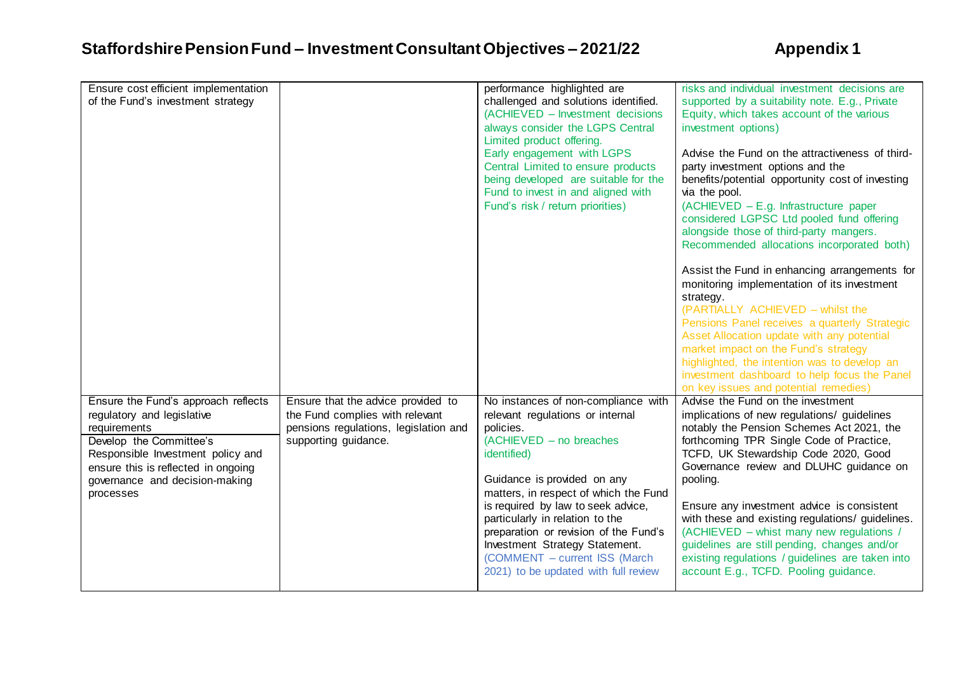| Ensure cost efficient implementation<br>of the Fund's investment strategy                                                                                                                                                               |                                                                                                                                        | performance highlighted are<br>challenged and solutions identified.<br>(ACHIEVED - Investment decisions<br>always consider the LGPS Central<br>Limited product offering.<br>Early engagement with LGPS<br>Central Limited to ensure products<br>being developed are suitable for the<br>Fund to invest in and aligned with<br>Fund's risk / return priorities)                                                                      | risks and individual investment decisions are<br>supported by a suitability note. E.g., Private<br>Equity, which takes account of the various<br>investment options)<br>Advise the Fund on the attractiveness of third-<br>party investment options and the<br>benefits/potential opportunity cost of investing<br>via the pool.<br>(ACHIEVED - E.g. Infrastructure paper<br>considered LGPSC Ltd pooled fund offering<br>alongside those of third-party mangers.<br>Recommended allocations incorporated both)<br>Assist the Fund in enhancing arrangements for    |
|-----------------------------------------------------------------------------------------------------------------------------------------------------------------------------------------------------------------------------------------|----------------------------------------------------------------------------------------------------------------------------------------|-------------------------------------------------------------------------------------------------------------------------------------------------------------------------------------------------------------------------------------------------------------------------------------------------------------------------------------------------------------------------------------------------------------------------------------|---------------------------------------------------------------------------------------------------------------------------------------------------------------------------------------------------------------------------------------------------------------------------------------------------------------------------------------------------------------------------------------------------------------------------------------------------------------------------------------------------------------------------------------------------------------------|
|                                                                                                                                                                                                                                         |                                                                                                                                        |                                                                                                                                                                                                                                                                                                                                                                                                                                     | monitoring implementation of its investment<br>strategy.<br>(PARTIALLY ACHIEVED - whilst the<br>Pensions Panel receives a quarterly Strategic<br>Asset Allocation update with any potential<br>market impact on the Fund's strategy<br>highlighted, the intention was to develop an<br>investment dashboard to help focus the Panel<br>on key issues and potential remedies)                                                                                                                                                                                        |
| Ensure the Fund's approach reflects<br>regulatory and legislative<br>requirements<br>Develop the Committee's<br>Responsible Investment policy and<br>ensure this is reflected in ongoing<br>governance and decision-making<br>processes | Ensure that the advice provided to<br>the Fund complies with relevant<br>pensions regulations, legislation and<br>supporting guidance. | No instances of non-compliance with<br>relevant regulations or internal<br>policies.<br>$(ACHIEVED - no break)$<br>identified)<br>Guidance is provided on any<br>matters, in respect of which the Fund<br>is required by law to seek advice,<br>particularly in relation to the<br>preparation or revision of the Fund's<br>Investment Strategy Statement.<br>(COMMENT - current ISS (March<br>2021) to be updated with full review | Advise the Fund on the investment<br>implications of new regulations/ guidelines<br>notably the Pension Schemes Act 2021, the<br>forthcoming TPR Single Code of Practice,<br>TCFD, UK Stewardship Code 2020, Good<br>Governance review and DLUHC guidance on<br>pooling.<br>Ensure any investment advice is consistent<br>with these and existing regulations/ guidelines.<br>(ACHIEVED - whist many new regulations /<br>guidelines are still pending, changes and/or<br>existing regulations / guidelines are taken into<br>account E.g., TCFD. Pooling guidance. |